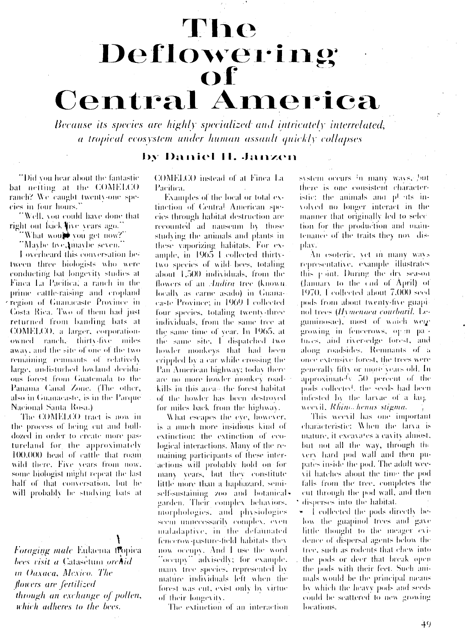## The Deflowering Of **Central America**

Because its species are highly specialized and intricately interrelated, a tropical ecosystem under human assault quickly collapses

## by Daniel II. Janzen

"Did you hear about the fantastic bat neiting at the COMELCO ranch? We caught twenty-one species in four hours."

"Well, you could have done that right out back live years ago."

"What would vou get now?"

"Maybe tive, maybe seven."

I overheard this conversation between three biologists who were conducting bat longevity studies at Finea La Pacifica, a ranch in the prime cattle-raising and cropland region of Guanacaste Province in Costa Rica. Two of them had just returned from banding bats at COMELCO, a larger, corporationowned ranch. thirty-five miles away, and the site of one of the two remaining remnants of relatively large, undisturbed lowland deciduous forest from Guatemala to the Panama Canal Zone. (The other, also in Guanacaste, is in the Parque' Nacional Santa Rosa.)

The COMELCO tract is now in the process of being cut and bulldozed in order to create more pastureland for the approximately 100,000 head of cattle that roam wild there. Five years from now. some biologist might repeat the last half of that conversation, but he will probably be studying bats at

Foraging male Eulaema flopica bees visit a Catasetum orchid in Oaxaca, Mexico. The flowers are fertilized through an exchange of pollen, which adheres to the bees.

COMELCO instead of at Finea La Pacifica.

Examples of the local or total extinction of Central American species through habitat destruction are recounted ad nauseum by those studying the animals and plants in these vaporizing habitats. For example, in 1965 Leollected thirtytwo species of wild bees, totaling about 1,500 individuals, from the flowers of an *Andira* tree (known) locally as carne asado) in Guanacaste Province; in 1969 I collected four species, totaling twenty-three individuals, from the same tree at the same time of year. In 1965, at the same site. I dispatched two howler monkeys that had been crippled by a car while crossing the Pan American highway; today there are no more howler monkey roadkills in this area-the forest habitat of the howler has been destroyed for miles back from the highway.

What escapes the eye, however, is a much more insidious kind of extinction: the extinction of ecological interactions. Many of the remaining participants of these interactions will probably hold on for many years, but they constitute little more than a haphazard, semiself-sustaining zoo and botanical. garden. Their complex behaviors, morphologies, and physiologies seem unnecessarily complex, even maladaptive, in the defaunated fencerow-pasture-field habitats they now occupy. And I use the word "occupy" advisedly; for example, many tree species, represented by mature individuals left when the forest was cut, exist only by virtue of their longevity.

The extinction of an interaction

system occurs in many ways, but there is one consistent characteristic: the animals and plonts involved no longer interact in the manner that originally led to selection for the production and maintenance of the traits they nov display.

An esoteric, vet m many wavs representative, example illustrates this point. During the dry season (January to the end of April) of 1970, I collected about 7,000 seed pods from about twenty-five guapinol trees (Hymenaea courbaril, Leguminosae), most of waich were growing in fencerows, open patures, and river-edge forest, and along roadsides. Remnants of a once extensive forest, the trees were generally fifty or more years old. In approximately 50 percent of the pods collected, the seeds had been infested by the larvae of a largweevil, Rhino, henus stigma.

This weevil has one important characteristic: When the larva is mature, it excavates a cavity almost, but not all the way, through the very hard pod wall and then pupates inside the pod. The adult weevil hatches about the time the pod falls from the tree, completes the cut through the pod wall, and then disperses into the habitat.

\* I collected the pods directly befow the guapinol trees and gave little thought to the meager evidence of dispersal agents below the tree, such as rodents that chew into the pods or deer that break open the pods with their feet. Such animals would be the principal means by which the heavy pods and seeds could be scattered to new growing locations.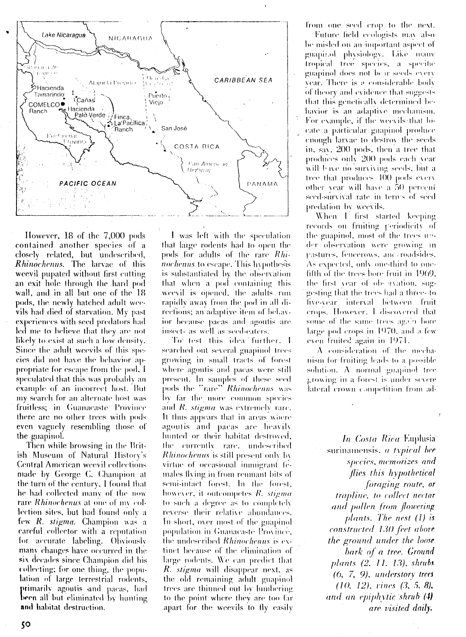

However, 18 of the 7,000 pods contained another species of a closely related, but undescribed, Rhinochenus. The larvae of this weevil pupated without first cutting an exit hole through the hard pod wall, and in all but one of the 18 pods, the newly hatched adult weevils had died of starvation. My past experiences with seed predators had led me to believe that they are not likely to exist at such a low density. Since the adult weevils of this species did not have the behavior appropriate for escape from the pod, I speculated that this was probably an example of an incorrect host. But my search for an alternate host was fruitless; in Guanacaste Province there are no other trees with pods even vaguely resembling those of the guapinol.

Then while browsing in the British Museum of Natural History's **Central American weevil collections** made by George C. Champion at the turn of the century, I found that he had collected many of the now rare Rhinochenus at one of my collection sites, but had found only a few R. stigma. Champion was a careful collector with a reputation for accurate labeling. Obviously many changes have occurred in the six decades since Champion did his collecting; for one thing, the population of large terrestrial rodents, primarily agoutis and pacas, had been all but eliminated by hunting and habitat destruction.

I was left with the speculation that large rodents had to open the pods for adults of the rare Rhinochenus to escape. This hypothesis is substantiated by the observation that when a pod-containing this weevil is opened, the adults run rapidly away from the pod in all directions; an adaptive item of behavior because pacas and agoutis are insect- as well as seed-caters.

To test this idea further, I searched out several guapinol trees growing in small tracts of forest where agoutis and pacas were still present. In samples of these seed pods the "rare" Rhinochenus was by far the more common species and R. stigma was extremely rare. It thus appears that in areas where agoutis and pacas are heavily hunted or their habitat destroyed, the currently rare, undescribed Rhinochenus is still present only by virtue of occasional immigrant females flying in from remnant bits of semi-infact forest. In the forest, however, it outcompetes R. stigma to such a degree as to completely reverse their relative abundances. In short, over most of the guapinol population in Guanacaste Province, the undescribed Rhinochenus is extinct because of the elimination of large rodents. We can predict that R. stigma will disappear next, as the old remaining adult guapinol trees are thinned out by lumbering to the point where they are too far apart for the weevils to fly easily from one seed crop to the next.

Future field ecologists may also be misled on an important aspect of guapir.of physiology. Like many tropical tree species, a specific guapinol does not be in seeds every year. There is a considerable body of theory and evidence that suggests that this genetically determined behavior is an adaptive mechanism. For example, if the weevils that locate a particular guapinol produce enough larvae to destroy the seeds in, say, 200 pods, then a tree that produces only 200 pods each year. will bave no surviving seeds, but a tree that produces 400 pods every other year will have a 50 percent seed-survival rate in terms of seed predation by weevils.

When I first started keeping records on fruiting periodicity of the guapinol, most of the trees upder observation were growing in pastures, fencerows, and roadsides. As expected, only one-third to onefifth of the trees bore fruit in 1969, the first year of observation, suggesting that the trees had a three- to five-year interval between fruit crops. However, I discovered that some of the same trees again hore large pod crops in 1970, and a few even fruited again in 1971.

A consideration of the mechanism for fruiting leads to a possible solution.  $A$  normal guapinol tree growing in a forest is under severe lateral crown competition from ad-

> In Costa Rica Euplusia surinamensis, a typical bee species, memorizes and flies this hypothetical foraging route, or trapline, to collect nectar and pollen from flowering plants. The nest  $(l)$  is constructed 130 feet above the ground under the loose bark of a tree. Ground *plants (2, 11, 13), shrubs* (6, 7, 9), understory trees  $(10, 12)$ , vines  $(3, 5, 8)$ , and an epiphytic shrub (4) are visited daily.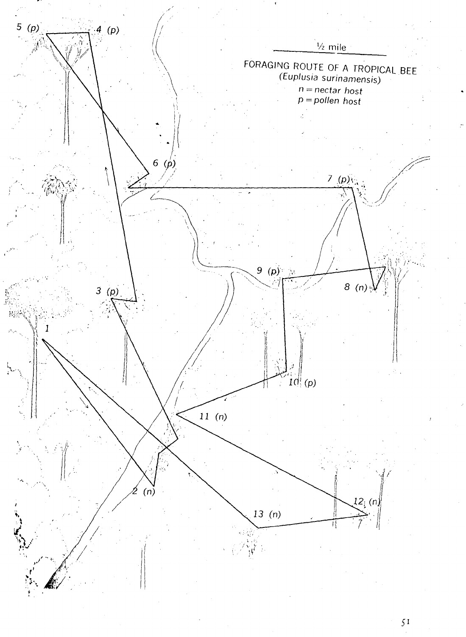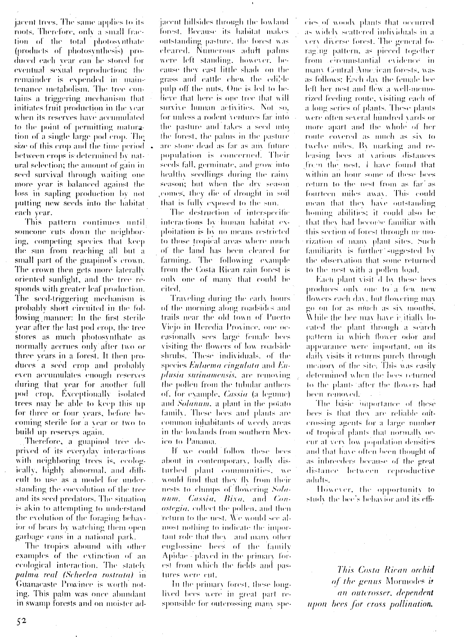jacent trees. The same applies to its roots. Therefore, only a small fraction of the total photosynthate (products of photosynthesis) produced each year can be stored for eventual sexual reproduction: the remainder is expended in maintenance metabolism. The tree contains a triggering mechanism that initiates fruit production in the vear when its reserves have accumulated to the point of permitting maturation of a single large pod erop. The size of this crop and the time period  $\sim$ between crops is determined by natural selection; the amount of gain in seed survival through waiting one more year is balanced against the loss in sapling production by not putting new seeds into the habitat each year.

This pattern continues until someone cuts down the neighboring, competing species that keep the sun from reaching all but a small part of the guapmol's crown. The crown then gets more faterally oriented sunlight, and the tree responds with greater leaf production. The seed-triggering mechanism is probably short circuited in the following manner: In the first sterile year after the last pod crop, the tree stores as much photosynthate as normally accrues only after two or three years in a forest. It then produces a seed erop and probably even accumulates enough reserves during that year for another full pod crop. Exceptionally isolated trees may be able to keep this up for three or four years, before becoming sterile for a year or two to build up reserves again.

Therefore, a guapinol tree deprived of its everyday interactions with neighboring trees is, ecologically, highly abnormal, and difficult to use as a model for understanding the coevolution of the tree and its seed predators. The situation is akin to attempting to understand the evolution of the foraging behavior of bears by watching them open garbage cans in a national park.

The tropics abound with other examples of the extinction of an ccological interaction. The stately palma real (Scheelea rostrata) in Guanacaste Province is worth noting. This palm was once abundant in swamp forests and on moister ad-

jacent hillsides through the lowland forest. Because its habitat makes outstanding pasture, the forest was cleared. Numerous adult palms were left standing, however, because they cast little shade on the grass and cattle chew the edible pulp off the nuts. One is led to believe that here is one tree that will survive human activities. Not so, for unless a rodent ventures far into the pasture and takes a seed into the forest, the palms in the pasture are stone dead as far as any future population is concerned. Their seeds fall, germinate, and grow into healthy seedlings during the rainy season; but when the dry season comes, they die of drought in soil that is fully exposed to the sun.

The destruction of interspecific interactions by human habitat exploitation is by no means restricted to those tropical areas where much of the land has been cleared for farming. The following example from the Costa Rican rain forest is only one of many that could be cited.

Traveling during the early hours. of the morning along roadsides and trails near the old town of Puerto Vicjo in Heredia Province, one occasionally sees large female bees visiting the flowers of low roadside shrubs. These individuals, of the species Eulaema cingulata and Euplusia surinamensis, are removing the pollen from the tubular anthers of, for example, *Cassia* (a legume) and Solanum, a plant in the potato family. These bees and plants are common inhabitants of weedy areas in the lowlands from southern Mexico to Panama.

If we could follow these bees about in contemporary, badly disturbed plant communities, we would find that they fly from their nests to clumps of flowering Solanum, Cassia, Bixa, and Con*ostegia*, collect the pollen, and then return to the nest. We would see almost nothing to indicate the important role that they and many other euglossine bees of the family Apidae - played in the primary forest from which the fields and pastures were cut.

In the primary forest, these longlived bees were in great part responsible for outerossing many species of woody plants that occurred as widely scattered individuals in a very diverse forest. The general foraging pattern, as pieced together from circumstantial evidence in many Central American forests, was as follows: Each day the female bee left her nest and flew a well-memorized feeding route, visiting each of a long series of plants. These plants were often several hundred vards or more apart and the whole of her route covered as much as six to twelve miles. By marking and releasing bees at various distances frem the nest. I have found that within an hour some of these bees return to the nest from as far' as fourteen miles away. This could mean that they have outstanding homing abilities; it could also be that they had become familiar with this section of forest through ne morization of many plant sites. Such familiarity is further'suggested by the observation that some returned to the nest with a pollen load.

Each plant visit d by these bees produces only one to a few new flowers each day, but flowering may go on for as much as six months. While the bee may have is itially located the plant through a search pattern in which flower odor and appearance were important, on its daily visits it returns purely through memory of the site. This was easily determined when the bees returned to the plants after the flowers had been removed.

The basic importance of these bees is that they are reliable outcrossing agents for a large number of tropical plants that normally occur at very low population densities and that have often been thought of as inbreeders because of the great distance between reproductive adults.

However, the opportunity to study the bee's behavior and its effi-

This Costa Rican orchid of the genus Mormodes is an outerosser, dependent upon bees for cross pollination.